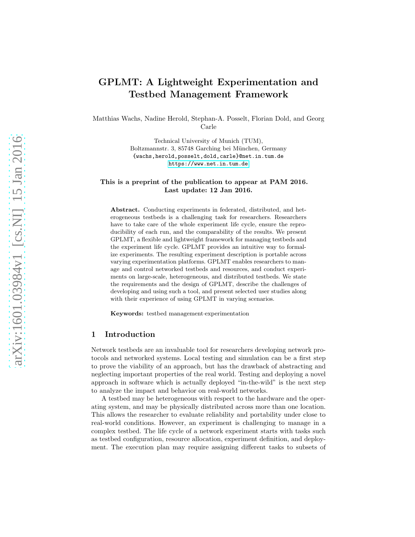# GPLMT: A Lightweight Experimentation and Testbed Management Framework

Matthias Wachs, Nadine Herold, Stephan-A. Posselt, Florian Dold, and Georg Carle

> Technical University of Munich (TUM), Boltzmannstr. 3, 85748 Garching bei München, Germany {wachs,herold,posselt,dold,carle}@net.in.tum.de <https://www.net.in.tum.de>

## This is a preprint of the publication to appear at PAM 2016. Last update: 12 Jan 2016.

Abstract. Conducting experiments in federated, distributed, and heterogeneous testbeds is a challenging task for researchers. Researchers have to take care of the whole experiment life cycle, ensure the reproducibility of each run, and the comparability of the results. We present GPLMT, a flexible and lightweight framework for managing testbeds and the experiment life cycle. GPLMT provides an intuitive way to formalize experiments. The resulting experiment description is portable across varying experimentation platforms. GPLMT enables researchers to manage and control networked testbeds and resources, and conduct experiments on large-scale, heterogeneous, and distributed testbeds. We state the requirements and the design of GPLMT, describe the challenges of developing and using such a tool, and present selected user studies along with their experience of using GPLMT in varying scenarios.

Keywords: testbed management·experimentation

# 1 Introduction

Network testbeds are an invaluable tool for researchers developing network protocols and networked systems. Local testing and simulation can be a first step to prove the viability of an approach, but has the drawback of abstracting and neglecting important properties of the real world. Testing and deploying a novel approach in software which is actually deployed "in-the-wild" is the next step to analyze the impact and behavior on real-world networks.

A testbed may be heterogeneous with respect to the hardware and the operating system, and may be physically distributed across more than one location. This allows the researcher to evaluate reliability and portability under close to real-world conditions. However, an experiment is challenging to manage in a complex testbed. The life cycle of a network experiment starts with tasks such as testbed configuration, resource allocation, experiment definition, and deployment. The execution plan may require assigning different tasks to subsets of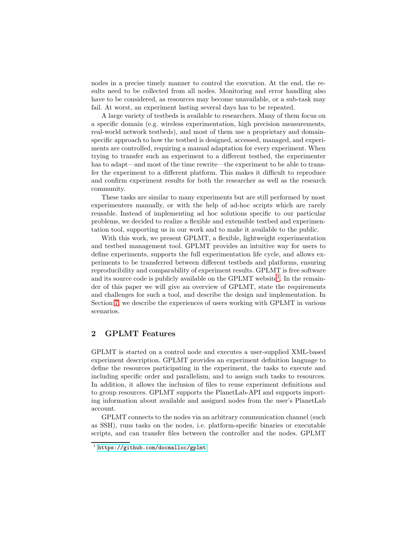nodes in a precise timely manner to control the execution. At the end, the results need to be collected from all nodes. Monitoring and error handling also have to be considered, as resources may become unavailable, or a sub-task may fail. At worst, an experiment lasting several days has to be repeated.

A large variety of testbeds is available to researchers. Many of them focus on a specific domain (e.g. wireless experimentation, high precision measurements, real-world network testbeds), and most of them use a proprietary and domainspecific approach to how the testbed is designed, accessed, managed, and experiments are controlled, requiring a manual adaptation for every experiment. When trying to transfer such an experiment to a different testbed, the experimenter has to adapt—and most of the time rewrite—the experiment to be able to transfer the experiment to a different platform. This makes it difficult to reproduce and confirm experiment results for both the researcher as well as the research community.

These tasks are similar to many experiments but are still performed by most experimenters manually, or with the help of ad-hoc scripts which are rarely reusable. Instead of implementing ad hoc solutions specific to our particular problems, we decided to realize a flexible and extensible testbed and experimentation tool, supporting us in our work and to make it available to the public.

With this work, we present GPLMT, a flexible, lightweight experimentation and testbed management tool. GPLMT provides an intuitive way for users to define experiments, supports the full experimentation life cycle, and allows experiments to be transferred between different testbeds and platforms, ensuring reproducibility and comparability of experiment results. GPLMT is free software and its source code is publicly available on the GPLMT website<sup>[1](#page-1-0)</sup>. In the remainder of this paper we will give an overview of GPLMT, state the requirements and challenges for such a tool, and describe the design and implementation. In Section [7,](#page-7-0) we describe the experiences of users working with GPLMT in various scenarios.

# <span id="page-1-1"></span>2 GPLMT Features

GPLMT is started on a control node and executes a user-supplied XML-based experiment description. GPLMT provides an experiment definition language to define the resources participating in the experiment, the tasks to execute and including specific order and parallelism, and to assign such tasks to resources. In addition, it allows the inclusion of files to reuse experiment definitions and to group resources. GPLMT supports the PlanetLab-API and supports importing information about available and assigned nodes from the user's PlanetLab account.

GPLMT connects to the nodes via an arbitrary communication channel (such as SSH), runs tasks on the nodes, i.e. platform-specific binaries or executable scripts, and can transfer files between the controller and the nodes. GPLMT

<span id="page-1-0"></span><sup>&</sup>lt;sup>1</sup> <https://github.com/docmalloc/gplmt>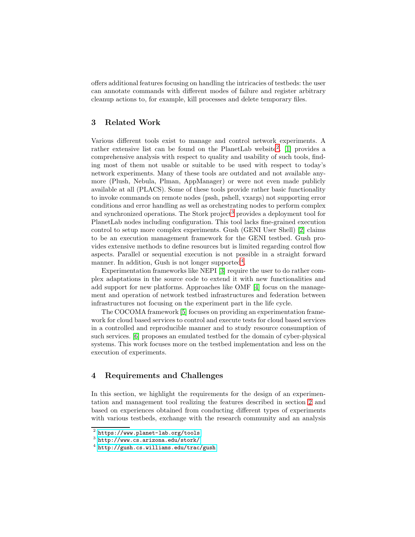offers additional features focusing on handling the intricacies of testbeds: the user can annotate commands with different modes of failure and register arbitrary cleanup actions to, for example, kill processes and delete temporary files.

# 3 Related Work

Various different tools exist to manage and control network experiments. A rather extensive list can be found on the PlanetLab website<sup>[2](#page-2-0)</sup>. [\[1\]](#page-11-0) provides a comprehensive analysis with respect to quality and usability of such tools, finding most of them not usable or suitable to be used with respect to today's network experiments. Many of these tools are outdated and not available anymore (Plush, Nebula, Plman, AppManager) or were not even made publicly available at all (PLACS). Some of these tools provide rather basic functionality to invoke commands on remote nodes (pssh, pshell, vxargs) not supporting error conditions and error handling as well as orchestrating nodes to perform complex and synchronized operations. The Stork project<sup>[3](#page-2-1)</sup> provides a deployment tool for PlanetLab nodes including configuration. This tool lacks fine-grained execution control to setup more complex experiments. Gush (GENI User Shell) [\[2\]](#page-11-1) claims to be an execution management framework for the GENI testbed. Gush provides extensive methods to define resources but is limited regarding control flow aspects. Parallel or sequential execution is not possible in a straight forward manner. In addition, Gush is not longer supported<sup>[4](#page-2-2)</sup>.

Experimentation frameworks like NEPI [\[3\]](#page-11-2) require the user to do rather complex adaptations in the source code to extend it with new functionalities and add support for new platforms. Approaches like OMF [\[4\]](#page-11-3) focus on the management and operation of network testbed infrastructures and federation between infrastructures not focusing on the experiment part in the life cycle.

The COCOMA framework [\[5\]](#page-11-4) focuses on providing an experimentation framework for cloud based services to control and execute tests for cloud based services in a controlled and reproducible manner and to study resource consumption of such services. [\[6\]](#page-11-5) proposes an emulated testbed for the domain of cyber-physical systems. This work focuses more on the testbed implementation and less on the execution of experiments.

# <span id="page-2-3"></span>4 Requirements and Challenges

In this section, we highlight the requirements for the design of an experimentation and management tool realizing the features described in section [2](#page-1-1) and based on experiences obtained from conducting different types of experiments with various testbeds, exchange with the research community and an analysis

 $^2$  <https://www.planet-lab.org/tools>

<span id="page-2-0"></span><sup>3</sup> <http://www.cs.arizona.edu/stork/>

<span id="page-2-2"></span><span id="page-2-1"></span><sup>4</sup> <http://gush.cs.williams.edu/trac/gush>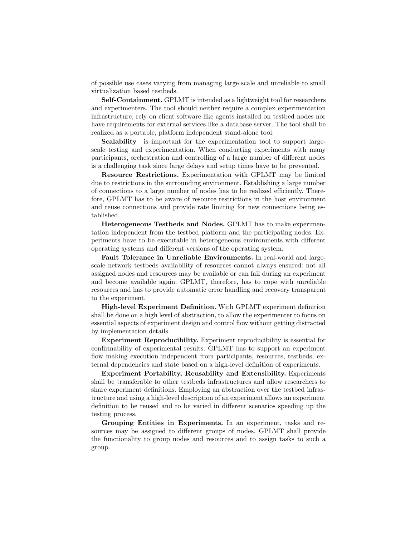of possible use cases varying from managing large scale and unreliable to small virtualization based testbeds.

Self-Containment. GPLMT is intended as a lightweight tool for researchers and experimenters. The tool should neither require a complex experimentation infrastructure, rely on client software like agents installed on testbed nodes nor have requirements for external services like a database server. The tool shall be realized as a portable, platform independent stand-alone tool.

Scalability is important for the experimentation tool to support largescale testing and experimentation. When conducting experiments with many participants, orchestration and controlling of a large number of different nodes is a challenging task since large delays and setup times have to be prevented.

Resource Restrictions. Experimentation with GPLMT may be limited due to restrictions in the surrounding environment. Establishing a large number of connections to a large number of nodes has to be realized efficiently. Therefore, GPLMT has to be aware of resource restrictions in the host environment and reuse connections and provide rate limiting for new connections being established.

Heterogeneous Testbeds and Nodes. GPLMT has to make experimentation independent from the testbed platform and the participating nodes. Experiments have to be executable in heterogeneous environments with different operating systems and different versions of the operating system.

Fault Tolerance in Unreliable Environments. In real-world and largescale network testbeds availability of resources cannot always ensured: not all assigned nodes and resources may be available or can fail during an experiment and become available again. GPLMT, therefore, has to cope with unreliable resources and has to provide automatic error handling and recovery transparent to the experiment.

High-level Experiment Definition. With GPLMT experiment definition shall be done on a high level of abstraction, to allow the experimenter to focus on essential aspects of experiment design and control flow without getting distracted by implementation details.

Experiment Reproducibility. Experiment reproducibility is essential for confirmability of experimental results. GPLMT has to support an experiment flow making execution independent from participants, resources, testbeds, external dependencies and state based on a high-level definition of experiments.

Experiment Portability, Reusability and Extensibility. Experiments shall be transferable to other testbeds infrastructures and allow researchers to share experiment definitions. Employing an abstraction over the testbed infrastructure and using a high-level description of an experiment allows an experiment definition to be reused and to be varied in different scenarios speeding up the testing process.

Grouping Entities in Experiments. In an experiment, tasks and resources may be assigned to different groups of nodes. GPLMT shall provide the functionality to group nodes and resources and to assign tasks to such a group.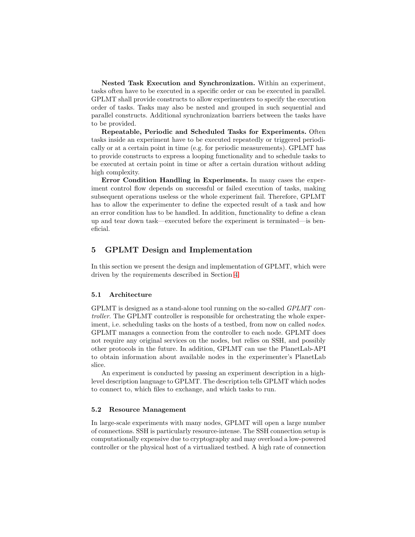Nested Task Execution and Synchronization. Within an experiment, tasks often have to be executed in a specific order or can be executed in parallel. GPLMT shall provide constructs to allow experimenters to specify the execution order of tasks. Tasks may also be nested and grouped in such sequential and parallel constructs. Additional synchronization barriers between the tasks have to be provided.

Repeatable, Periodic and Scheduled Tasks for Experiments. Often tasks inside an experiment have to be executed repeatedly or triggered periodically or at a certain point in time (e.g. for periodic measurements). GPLMT has to provide constructs to express a looping functionality and to schedule tasks to be executed at certain point in time or after a certain duration without adding high complexity.

Error Condition Handling in Experiments. In many cases the experiment control flow depends on successful or failed execution of tasks, making subsequent operations useless or the whole experiment fail. Therefore, GPLMT has to allow the experimenter to define the expected result of a task and how an error condition has to be handled. In addition, functionality to define a clean up and tear down task—executed before the experiment is terminated—is beneficial.

# 5 GPLMT Design and Implementation

In this section we present the design and implementation of GPLMT, which were driven by the requirements described in Section [4.](#page-2-3)

### 5.1 Architecture

GPLMT is designed as a stand-alone tool running on the so-called GPLMT controller. The GPLMT controller is responsible for orchestrating the whole experiment, i.e. scheduling tasks on the hosts of a testbed, from now on called nodes. GPLMT manages a connection from the controller to each node. GPLMT does not require any original services on the nodes, but relies on SSH, and possibly other protocols in the future. In addition, GPLMT can use the PlanetLab-API to obtain information about available nodes in the experimenter's PlanetLab slice.

An experiment is conducted by passing an experiment description in a highlevel description language to GPLMT. The description tells GPLMT which nodes to connect to, which files to exchange, and which tasks to run.

#### 5.2 Resource Management

In large-scale experiments with many nodes, GPLMT will open a large number of connections. SSH is particularly resource-intense. The SSH connection setup is computationally expensive due to cryptography and may overload a low-powered controller or the physical host of a virtualized testbed. A high rate of connection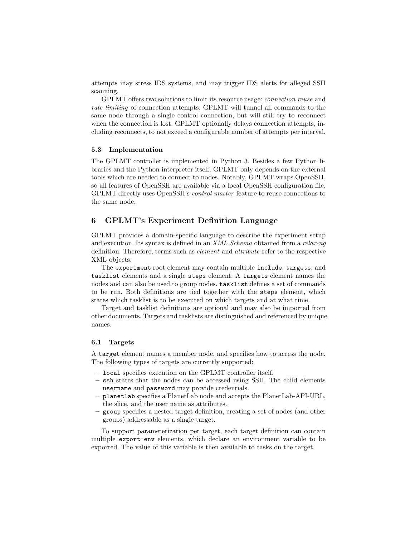attempts may stress IDS systems, and may trigger IDS alerts for alleged SSH scanning.

GPLMT offers two solutions to limit its resource usage: connection reuse and rate limiting of connection attempts. GPLMT will tunnel all commands to the same node through a single control connection, but will still try to reconnect when the connection is lost. GPLMT optionally delays connection attempts, including reconnects, to not exceed a configurable number of attempts per interval.

#### 5.3 Implementation

The GPLMT controller is implemented in Python 3. Besides a few Python libraries and the Python interpreter itself, GPLMT only depends on the external tools which are needed to connect to nodes. Notably, GPLMT wraps OpenSSH, so all features of OpenSSH are available via a local OpenSSH configuration file. GPLMT directly uses OpenSSH's control master feature to reuse connections to the same node.

# 6 GPLMT's Experiment Definition Language

GPLMT provides a domain-specific language to describe the experiment setup and execution. Its syntax is defined in an XML Schema obtained from a relax-ng definition. Therefore, terms such as element and attribute refer to the respective XML objects.

The experiment root element may contain multiple include, targets, and tasklist elements and a single steps element. A targets element names the nodes and can also be used to group nodes. tasklist defines a set of commands to be run. Both definitions are tied together with the steps element, which states which tasklist is to be executed on which targets and at what time.

Target and tasklist definitions are optional and may also be imported from other documents. Targets and tasklists are distinguished and referenced by unique names.

#### 6.1 Targets

A target element names a member node, and specifies how to access the node. The following types of targets are currently supported:

- local specifies execution on the GPLMT controller itself.
- ssh states that the nodes can be accessed using SSH. The child elements username and password may provide credentials.
- planetlab specifies a PlanetLab node and accepts the PlanetLab-API-URL, the slice, and the user name as attributes.
- group specifies a nested target definition, creating a set of nodes (and other groups) addressable as a single target.

To support parameterization per target, each target definition can contain multiple export-env elements, which declare an environment variable to be exported. The value of this variable is then available to tasks on the target.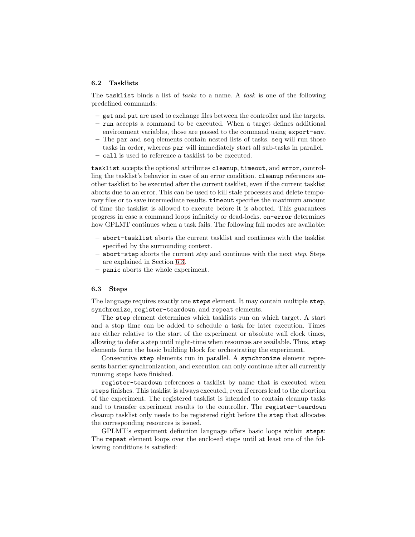#### 6.2 Tasklists

The tasklist binds a list of tasks to a name. A task is one of the following predefined commands:

- get and put are used to exchange files between the controller and the targets.
- run accepts a command to be executed. When a target defines additional environment variables, those are passed to the command using export-env.
- The par and seq elements contain nested lists of tasks. seq will run those tasks in order, whereas par will immediately start all sub-tasks in parallel.
- call is used to reference a tasklist to be executed.

tasklist accepts the optional attributes cleanup, timeout, and error, controlling the tasklist's behavior in case of an error condition. cleanup references another tasklist to be executed after the current tasklist, even if the current tasklist aborts due to an error. This can be used to kill stale processes and delete temporary files or to save intermediate results. timeout specifies the maximum amount of time the tasklist is allowed to execute before it is aborted. This guarantees progress in case a command loops infinitely or dead-locks. on-error determines how GPLMT continues when a task fails. The following fail modes are available:

- abort-tasklist aborts the current tasklist and continues with the tasklist specified by the surrounding context.
- abort-step aborts the current step and continues with the next step. Steps are explained in Section [6.3.](#page-6-0)
- panic aborts the whole experiment.

#### <span id="page-6-0"></span>6.3 Steps

The language requires exactly one steps element. It may contain multiple step, synchronize, register-teardown, and repeat elements.

The step element determines which tasklists run on which target. A start and a stop time can be added to schedule a task for later execution. Times are either relative to the start of the experiment or absolute wall clock times, allowing to defer a step until night-time when resources are available. Thus, step elements form the basic building block for orchestrating the experiment.

Consecutive step elements run in parallel. A synchronize element represents barrier synchronization, and execution can only continue after all currently running steps have finished.

register-teardown references a tasklist by name that is executed when steps finishes. This tasklist is always executed, even if errors lead to the abortion of the experiment. The registered tasklist is intended to contain cleanup tasks and to transfer experiment results to the controller. The register-teardown cleanup tasklist only needs to be registered right before the step that allocates the corresponding resources is issued.

GPLMT's experiment definition language offers basic loops within steps: The repeat element loops over the enclosed steps until at least one of the following conditions is satisfied: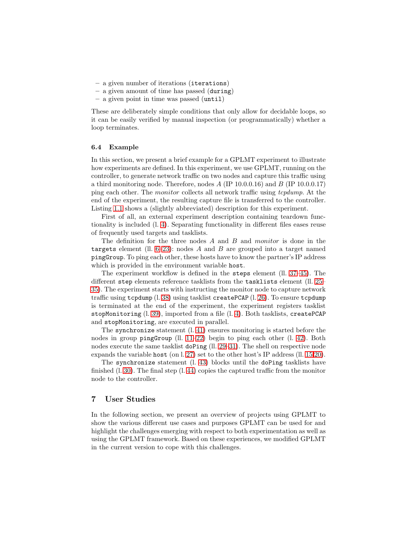- a given number of iterations (iterations)
- a given amount of time has passed (during)
- a given point in time was passed (until)

These are deliberately simple conditions that only allow for decidable loops, so it can be easily verified by manual inspection (or programmatically) whether a loop terminates.

#### 6.4 Example

In this section, we present a brief example for a GPLMT experiment to illustrate how experiments are defined. In this experiment, we use GPLMT, running on the controller, to generate network traffic on two nodes and capture this traffic using a third monitoring node. Therefore, nodes  $A$  (IP 10.0.0.16) and  $B$  (IP 10.0.0.17) ping each other. The monitor collects all network traffic using tcpdump. At the end of the experiment, the resulting capture file is transferred to the controller. Listing [1.1](#page-8-0) shows a (slightly abbreviated) description for this experiment.

First of all, an external experiment description containing teardown functionality is included (l. [4\)](#page-8-1). Separating functionality in different files eases reuse of frequently used targets and tasklists.

The definition for the three nodes  $A$  and  $B$  and monitor is done in the targets element (ll. [6–](#page-8-2)[23\)](#page-8-3): nodes A and B are grouped into a target named pingGroup. To ping each other, these hosts have to know the partner's IP address which is provided in the environment variable host.

The experiment workflow is defined in the steps element (ll. [37–](#page-8-4)[45\)](#page-8-5). The different step elements reference tasklists from the tasklists element (ll. [25–](#page-8-6) [35\)](#page-8-7). The experiment starts with instructing the monitor node to capture network traffic using tcpdump (l. [38\)](#page-8-8) using tasklist createPCAP (l. [26\)](#page-8-9). To ensure tcpdump is terminated at the end of the experiment, the experiment registers tasklist stopMonitoring (l. [39\)](#page-8-10), imported from a file (l. [4\)](#page-8-1). Both tasklists, createPCAP and stopMonitoring, are executed in parallel.

The synchronize statement (l. [41\)](#page-8-11) ensures monitoring is started before the nodes in group pingGroup (ll. [11–](#page-8-12)[22\)](#page-8-13) begin to ping each other  $(1, 42)$  $(1, 42)$ . Both nodes execute the same tasklist doPing (ll. [29](#page-8-15)[–31\)](#page-8-16). The shell on respective node expands the variable host (on l. [27\)](#page-8-17) set to the other host's IP address (ll. [15](#page-8-18)[,20\)](#page-8-19).

The synchronize statement (l. [43\)](#page-8-20) blocks until the doPing tasklists have finished (l. [30\)](#page-8-21). The final step (l. [44\)](#page-8-22) copies the captured traffic from the monitor node to the controller.

# <span id="page-7-0"></span>7 User Studies

In the following section, we present an overview of projects using GPLMT to show the various different use cases and purposes GPLMT can be used for and highlight the challenges emerging with respect to both experimentation as well as using the GPLMT framework. Based on these experiences, we modified GPLMT in the current version to cope with this challenges.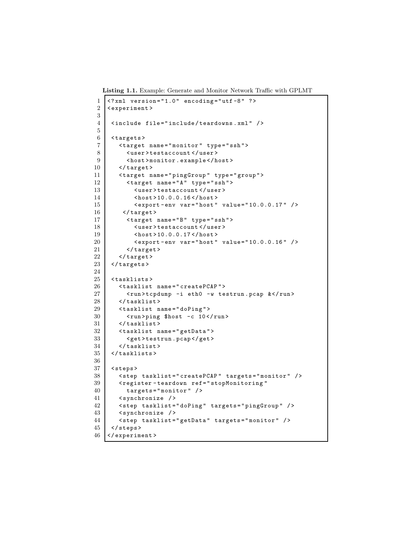<span id="page-8-0"></span>Listing 1.1. Example: Generate and Monitor Network Traffic with GPLMT

```
1 \mid <? xml version="1.0" encoding="utf-8" ?>
2 | < experiment >
3
4 | \{include file="include/teardowns.xml" />
5
6 <targets>
7 < target name =" monitor " type =" ssh " >
8 <user>testaccount</user>
9 <host>monitor.example</host>
10 </target>
11 | <target name="pingGroup" type="group">
12 | <target name="A" type="ssh">
13 | <user>testaccount </user>
14 < host > 10.0.0.16 </ host >
           15 < export - env var =" host " value =" 10.0.0.17 " / >
16 </target>
17 | <target name="B" type="ssh">
18 | <user>testaccount </user>
19 <host>10.0.0.17</host>
20 | <export-env var="host" value="10.0.0.16" />
\begin{array}{c|c}\n 21 & & \xleftarrow{\frown} \texttt{target}\n 22 & & \xleftarrow{\frown} \texttt{target}\n\end{array}\langle / target >
23 </ targets >
24
25 <tasklists>
26 | <tasklist name="createPCAP">
27 | <run>tcpdump -i eth0 -w testrun.pcap & </run>
28 </tasklist>
29 | <tasklist name="doPing">
30 <run>ping $host -c 10</run>
31 </tasklist>
32 | <tasklist name="getData">
33 | <get>testrun.pcap</get>
34 </tasklist>
35 </tasklists>
36
37 < steps >
38 | <step tasklist="createPCAP" targets="monitor" />
39 | <register-teardown ref="stopMonitoring"
40 targets =" monitor " / >
41 < synchronize / >
42 | <step tasklist="doPing" targets="pingGroup" />
43 | < synchronize />
44 | <step tasklist="getData" targets="monitor" />
45 </ steps >
46 </ experiment >
```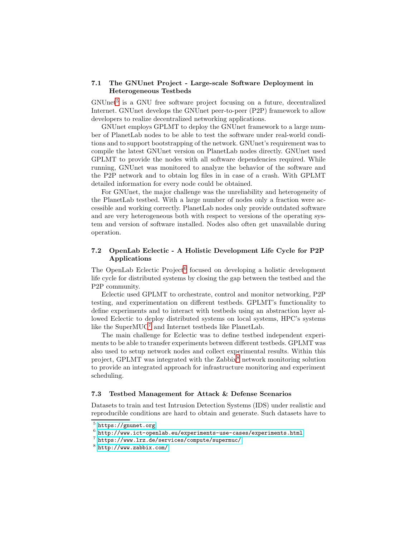# 7.1 The GNUnet Project - Large-scale Software Deployment in Heterogeneous Testbeds

GNUnet<sup>[5](#page-9-0)</sup> is a GNU free software project focusing on a future, decentralized Internet. GNUnet develops the GNUnet peer-to-peer (P2P) framework to allow developers to realize decentralized networking applications.

GNUnet employs GPLMT to deploy the GNUnet framework to a large number of PlanetLab nodes to be able to test the software under real-world conditions and to support bootstrapping of the network. GNUnet's requirement was to compile the latest GNUnet version on PlanetLab nodes directly. GNUnet used GPLMT to provide the nodes with all software dependencies required. While running, GNUnet was monitored to analyze the behavior of the software and the P2P network and to obtain log files in in case of a crash. With GPLMT detailed information for every node could be obtained.

For GNUnet, the major challenge was the unreliability and heterogeneity of the PlanetLab testbed. With a large number of nodes only a fraction were accessible and working correctly. PlanetLab nodes only provide outdated software and are very heterogeneous both with respect to versions of the operating system and version of software installed. Nodes also often get unavailable during operation.

## 7.2 OpenLab Eclectic - A Holistic Development Life Cycle for P2P Applications

The OpenLab Eclectic Project<sup>[6](#page-9-1)</sup> focused on developing a holistic development life cycle for distributed systems by closing the gap between the testbed and the P2P community.

Eclectic used GPLMT to orchestrate, control and monitor networking, P2P testing, and experimentation on different testbeds. GPLMT's functionality to define experiments and to interact with testbeds using an abstraction layer allowed Eclectic to deploy distributed systems on local systems, HPC's systems like the SuperMUC[7](#page-9-2) and Internet testbeds like PlanetLab.

The main challenge for Eclectic was to define testbed independent experiments to be able to transfer experiments between different testbeds. GPLMT was also used to setup network nodes and collect experimental results. Within this project, GPLMT was integrated with the Zabbix<sup>[8](#page-9-3)</sup> network monitoring solution to provide an integrated approach for infrastructure monitoring and experiment scheduling.

#### 7.3 Testbed Management for Attack & Defense Scenarios

Datasets to train and test Intrusion Detection Systems (IDS) under realistic and reproducible conditions are hard to obtain and generate. Such datasets have to

<sup>&</sup>lt;sup>5</sup> <https://gnunet.org>

<span id="page-9-0"></span><sup>6</sup> <http://www.ict-openlab.eu/experiments-use-cases/experiments.html>

<span id="page-9-1"></span><sup>7</sup> <https://www.lrz.de/services/compute/supermuc/>

<span id="page-9-3"></span><span id="page-9-2"></span><sup>8</sup> <http://www.zabbix.com/>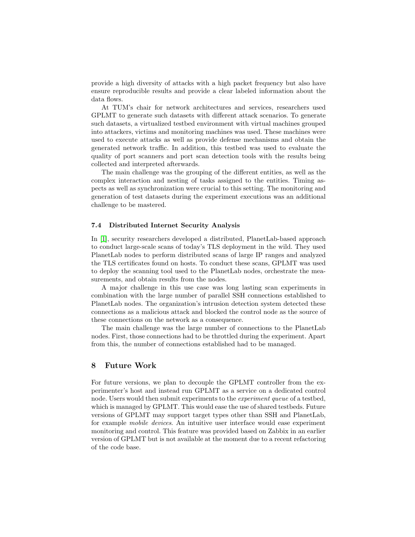provide a high diversity of attacks with a high packet frequency but also have ensure reproducible results and provide a clear labeled information about the data flows.

At TUM's chair for network architectures and services, researchers used GPLMT to generate such datasets with different attack scenarios. To generate such datasets, a virtualized testbed environment with virtual machines grouped into attackers, victims and monitoring machines was used. These machines were used to execute attacks as well as provide defense mechanisms and obtain the generated network traffic. In addition, this testbed was used to evaluate the quality of port scanners and port scan detection tools with the results being collected and interpreted afterwards.

The main challenge was the grouping of the different entities, as well as the complex interaction and nesting of tasks assigned to the entities. Timing aspects as well as synchronization were crucial to this setting. The monitoring and generation of test datasets during the experiment executions was an additional challenge to be mastered.

#### 7.4 Distributed Internet Security Analysis

In [\[1\]](#page-11-0), security researchers developed a distributed, PlanetLab-based approach to conduct large-scale scans of today's TLS deployment in the wild. They used PlanetLab nodes to perform distributed scans of large IP ranges and analyzed the TLS certificates found on hosts. To conduct these scans, GPLMT was used to deploy the scanning tool used to the PlanetLab nodes, orchestrate the measurements, and obtain results from the nodes.

A major challenge in this use case was long lasting scan experiments in combination with the large number of parallel SSH connections established to PlanetLab nodes. The organization's intrusion detection system detected these connections as a malicious attack and blocked the control node as the source of these connections on the network as a consequence.

The main challenge was the large number of connections to the PlanetLab nodes. First, those connections had to be throttled during the experiment. Apart from this, the number of connections established had to be managed.

# 8 Future Work

For future versions, we plan to decouple the GPLMT controller from the experimenter's host and instead run GPLMT as a service on a dedicated control node. Users would then submit experiments to the experiment queue of a testbed, which is managed by GPLMT. This would ease the use of shared testbeds. Future versions of GPLMT may support target types other than SSH and PlanetLab, for example mobile devices. An intuitive user interface would ease experiment monitoring and control. This feature was provided based on Zabbix in an earlier version of GPLMT but is not available at the moment due to a recent refactoring of the code base.